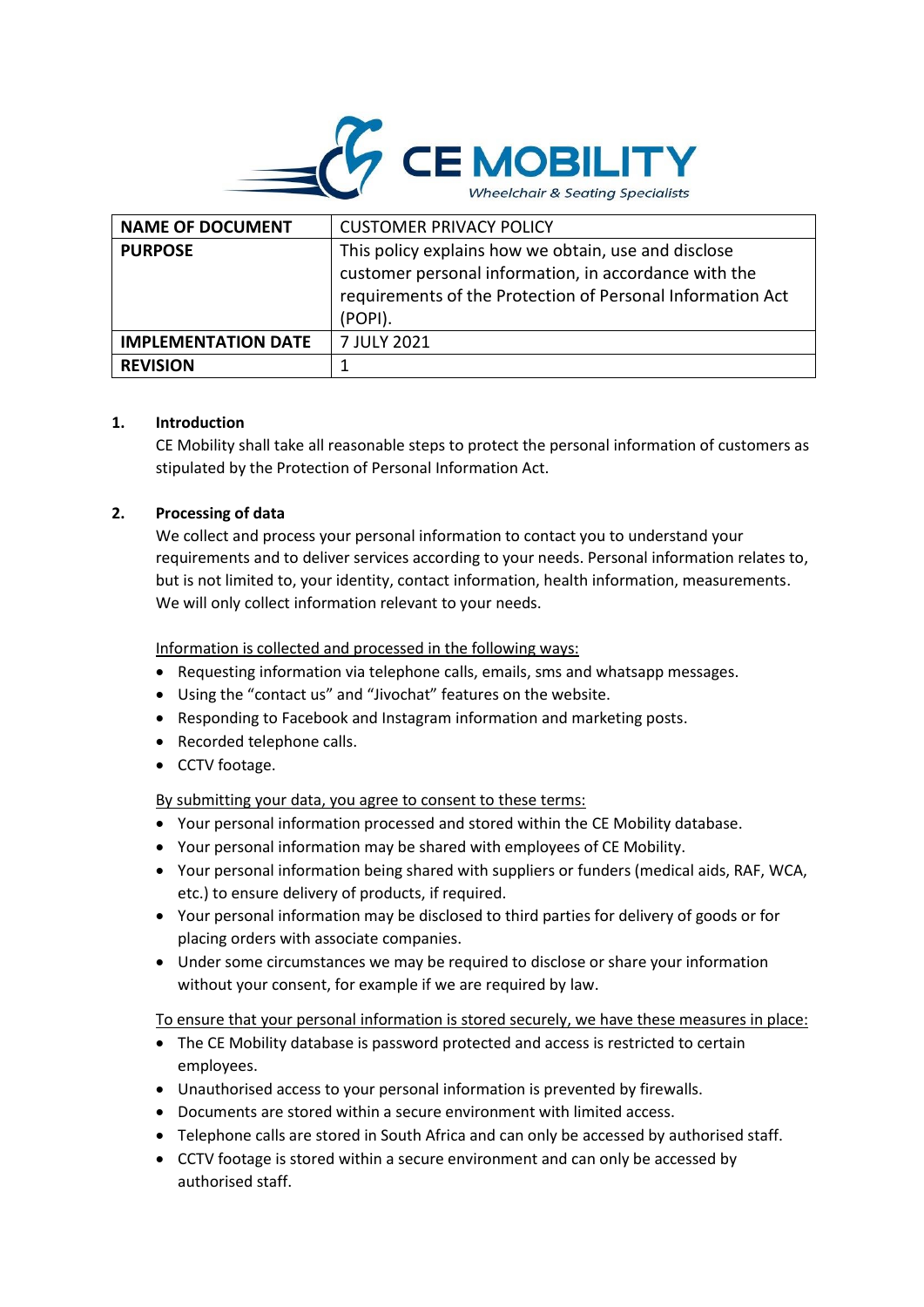

| <b>NAME OF DOCUMENT</b>    | <b>CUSTOMER PRIVACY POLICY</b>                                                                                                                                                         |
|----------------------------|----------------------------------------------------------------------------------------------------------------------------------------------------------------------------------------|
| <b>PURPOSE</b>             | This policy explains how we obtain, use and disclose<br>customer personal information, in accordance with the<br>requirements of the Protection of Personal Information Act<br>(POPI). |
| <b>IMPLEMENTATION DATE</b> | 7 JULY 2021                                                                                                                                                                            |
| <b>REVISION</b>            |                                                                                                                                                                                        |

# **1. Introduction**

CE Mobility shall take all reasonable steps to protect the personal information of customers as stipulated by the Protection of Personal Information Act.

## **2. Processing of data**

We collect and process your personal information to contact you to understand your requirements and to deliver services according to your needs. Personal information relates to, but is not limited to, your identity, contact information, health information, measurements. We will only collect information relevant to your needs.

Information is collected and processed in the following ways:

- Requesting information via telephone calls, emails, sms and whatsapp messages.
- Using the "contact us" and "Jivochat" features on the website.
- Responding to Facebook and Instagram information and marketing posts.
- Recorded telephone calls.
- CCTV footage.

By submitting your data, you agree to consent to these terms:

- Your personal information processed and stored within the CE Mobility database.
- Your personal information may be shared with employees of CE Mobility.
- Your personal information being shared with suppliers or funders (medical aids, RAF, WCA, etc.) to ensure delivery of products, if required.
- Your personal information may be disclosed to third parties for delivery of goods or for placing orders with associate companies.
- Under some circumstances we may be required to disclose or share your information without your consent, for example if we are required by law.

To ensure that your personal information is stored securely, we have these measures in place:

- The CE Mobility database is password protected and access is restricted to certain employees.
- Unauthorised access to your personal information is prevented by firewalls.
- Documents are stored within a secure environment with limited access.
- Telephone calls are stored in South Africa and can only be accessed by authorised staff.
- CCTV footage is stored within a secure environment and can only be accessed by authorised staff.